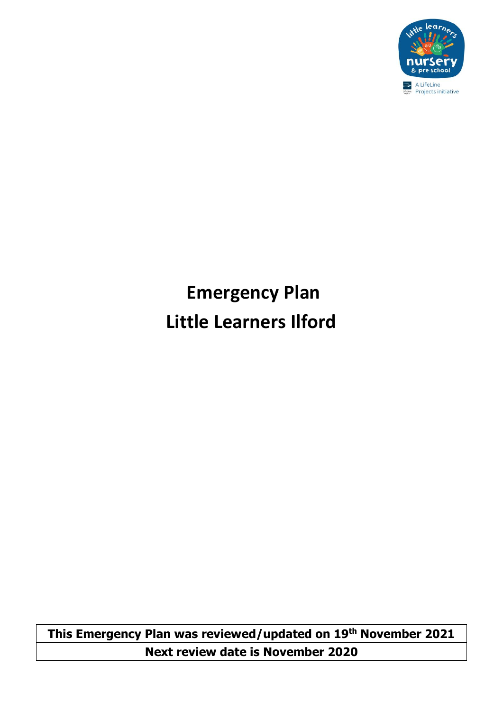

# **Emergency Plan Little Learners Ilford**

**This Emergency Plan was reviewed/updated on 19th November 2021 Next review date is November 2020**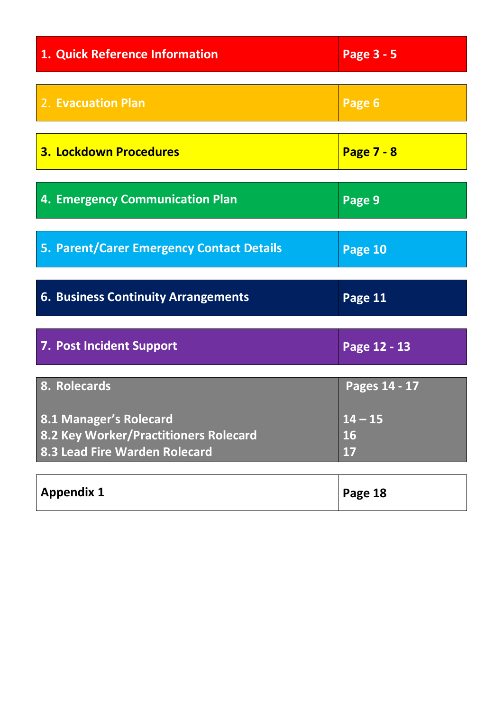| 1. Quick Reference Information                                                                   | Page 3 - 5                   |
|--------------------------------------------------------------------------------------------------|------------------------------|
| 2. Evacuation Plan                                                                               | Page 6                       |
| <b>3. Lockdown Procedures</b>                                                                    | <b>Page 7 - 8</b>            |
| 4. Emergency Communication Plan                                                                  | Page 9                       |
| 5. Parent/Carer Emergency Contact Details                                                        | Page 10                      |
| <b>6. Business Continuity Arrangements</b>                                                       | Page 11                      |
| <b>7. Post Incident Support</b>                                                                  | Page 12 - 13                 |
| 8. Rolecards                                                                                     | Pages 14 - 17                |
| 8.1 Manager's Rolecard<br>8.2 Key Worker/Practitioners Rolecard<br>8.3 Lead Fire Warden Rolecard | $14 - 15$<br><b>16</b><br>17 |
| <b>Appendix 1</b>                                                                                | Page 18                      |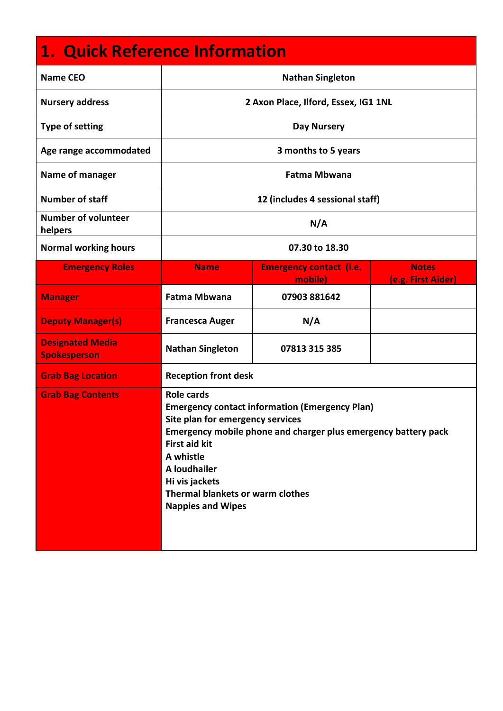# **1. Quick Reference Information**

| <b>Name CEO</b>                                | <b>Nathan Singleton</b>                                                                                                                                                                                                                                                                                                        |                                           |                                    |
|------------------------------------------------|--------------------------------------------------------------------------------------------------------------------------------------------------------------------------------------------------------------------------------------------------------------------------------------------------------------------------------|-------------------------------------------|------------------------------------|
| <b>Nursery address</b>                         |                                                                                                                                                                                                                                                                                                                                | 2 Axon Place, Ilford, Essex, IG1 1NL      |                                    |
| <b>Type of setting</b>                         |                                                                                                                                                                                                                                                                                                                                | <b>Day Nursery</b>                        |                                    |
| Age range accommodated                         |                                                                                                                                                                                                                                                                                                                                | 3 months to 5 years                       |                                    |
| Name of manager                                |                                                                                                                                                                                                                                                                                                                                | <b>Fatma Mbwana</b>                       |                                    |
| <b>Number of staff</b>                         |                                                                                                                                                                                                                                                                                                                                | 12 (includes 4 sessional staff)           |                                    |
| <b>Number of volunteer</b><br>helpers          | N/A                                                                                                                                                                                                                                                                                                                            |                                           |                                    |
| <b>Normal working hours</b>                    | 07.30 to 18.30                                                                                                                                                                                                                                                                                                                 |                                           |                                    |
| <b>Emergency Roles</b>                         | <b>Name</b>                                                                                                                                                                                                                                                                                                                    | <b>Emergency contact (i.e.</b><br>mobile) | <b>Notes</b><br>(e.g. First Aider) |
| <b>Manager</b>                                 | Fatma Mbwana                                                                                                                                                                                                                                                                                                                   | 07903 881642                              |                                    |
| <b>Deputy Manager(s)</b>                       | <b>Francesca Auger</b>                                                                                                                                                                                                                                                                                                         | N/A                                       |                                    |
| <b>Designated Media</b><br><b>Spokesperson</b> | <b>Nathan Singleton</b>                                                                                                                                                                                                                                                                                                        | 07813 315 385                             |                                    |
| <b>Grab Bag Location</b>                       | <b>Reception front desk</b>                                                                                                                                                                                                                                                                                                    |                                           |                                    |
| <b>Grab Bag Contents</b>                       | <b>Role cards</b><br><b>Emergency contact information (Emergency Plan)</b><br>Site plan for emergency services<br>Emergency mobile phone and charger plus emergency battery pack<br><b>First aid kit</b><br>A whistle<br>A loudhailer<br>Hi vis jackets<br><b>Thermal blankets or warm clothes</b><br><b>Nappies and Wipes</b> |                                           |                                    |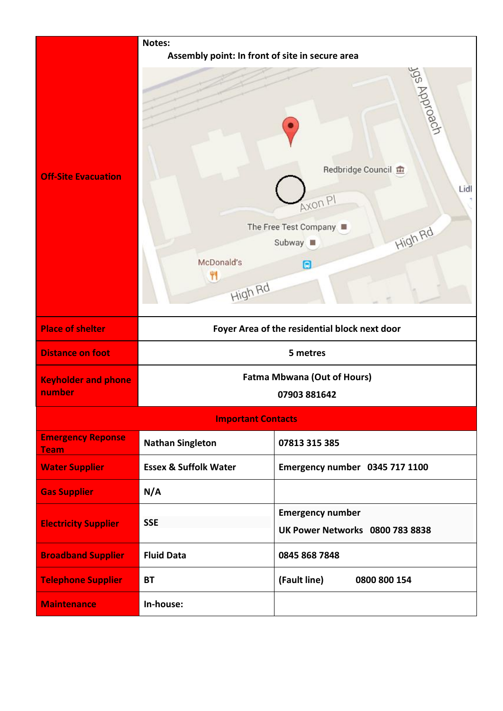|                                         | Notes:<br>Assembly point: In front of site in secure area |                                                                                                                       |
|-----------------------------------------|-----------------------------------------------------------|-----------------------------------------------------------------------------------------------------------------------|
| <b>Off-Site Evacuation</b>              | McDonald's<br>41<br>High Rd                               | Jug Approach<br>Redbridge Council<br>Lidl<br>Axon PI<br>The Free Test Company<br><b>High Rd</b><br>Subway  <br>$\Box$ |
| <b>Place of shelter</b>                 |                                                           | Foyer Area of the residential block next door                                                                         |
| <b>Distance on foot</b>                 |                                                           | 5 metres                                                                                                              |
| <b>Keyholder and phone</b><br>number    |                                                           | <b>Fatma Mbwana (Out of Hours)</b><br>07903 881642                                                                    |
|                                         | <b>Important Contacts</b>                                 |                                                                                                                       |
| <b>Emergency Reponse</b><br><b>Team</b> | <b>Nathan Singleton</b>                                   | 07813 315 385                                                                                                         |
| <b>Water Supplier</b>                   | <b>Essex &amp; Suffolk Water</b>                          | Emergency number 0345 717 1100                                                                                        |
| <b>Gas Supplier</b>                     | N/A                                                       |                                                                                                                       |
| <b>Electricity Supplier</b>             | <b>SSE</b>                                                | <b>Emergency number</b><br><b>UK Power Networks 0800 783 8838</b>                                                     |
| <b>Broadband Supplier</b>               | <b>Fluid Data</b>                                         | 0845 868 7848                                                                                                         |
| <b>Telephone Supplier</b>               | <b>BT</b>                                                 | (Fault line)<br>0800 800 154                                                                                          |
| <b>Maintenance</b>                      | In-house:                                                 |                                                                                                                       |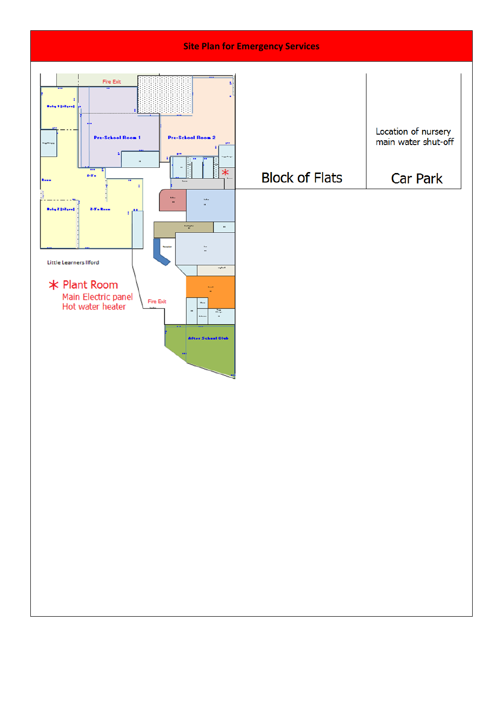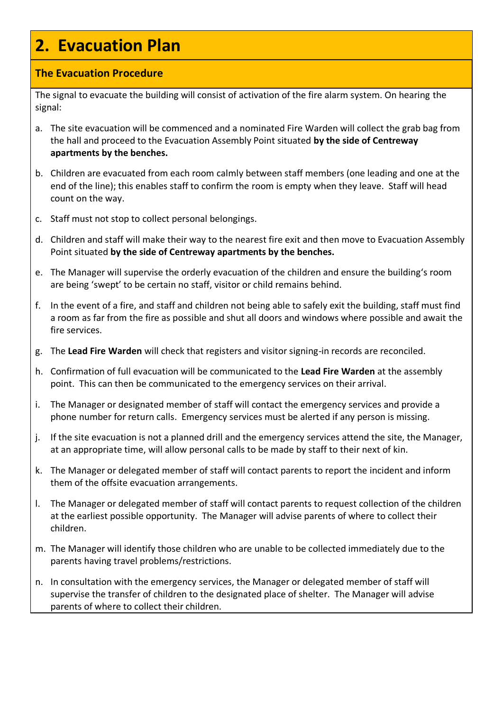### **2. Evacuation Plan**

#### **The Evacuation Procedure**

The signal to evacuate the building will consist of activation of the fire alarm system. On hearing the signal:

- a. The site evacuation will be commenced and a nominated Fire Warden will collect the grab bag from the hall and proceed to the Evacuation Assembly Point situated **by the side of Centreway apartments by the benches.**
- b. Children are evacuated from each room calmly between staff members (one leading and one at the end of the line); this enables staff to confirm the room is empty when they leave. Staff will head count on the way.
- c. Staff must not stop to collect personal belongings.
- d. Children and staff will make their way to the nearest fire exit and then move to Evacuation Assembly Point situated **by the side of Centreway apartments by the benches.**
- e. The Manager will supervise the orderly evacuation of the children and ensure the building's room are being 'swept' to be certain no staff, visitor or child remains behind.
- f. In the event of a fire, and staff and children not being able to safely exit the building, staff must find a room as far from the fire as possible and shut all doors and windows where possible and await the fire services.
- g. The **Lead Fire Warden** will check that registers and visitor signing-in records are reconciled.
- h. Confirmation of full evacuation will be communicated to the **Lead Fire Warden** at the assembly point. This can then be communicated to the emergency services on their arrival.
- i. The Manager or designated member of staff will contact the emergency services and provide a phone number for return calls. Emergency services must be alerted if any person is missing.
- j. If the site evacuation is not a planned drill and the emergency services attend the site, the Manager, at an appropriate time, will allow personal calls to be made by staff to their next of kin.
- k. The Manager or delegated member of staff will contact parents to report the incident and inform them of the offsite evacuation arrangements.
- l. The Manager or delegated member of staff will contact parents to request collection of the children at the earliest possible opportunity. The Manager will advise parents of where to collect their children.
- m. The Manager will identify those children who are unable to be collected immediately due to the parents having travel problems/restrictions.
- n. In consultation with the emergency services, the Manager or delegated member of staff will supervise the transfer of children to the designated place of shelter. The Manager will advise parents of where to collect their children.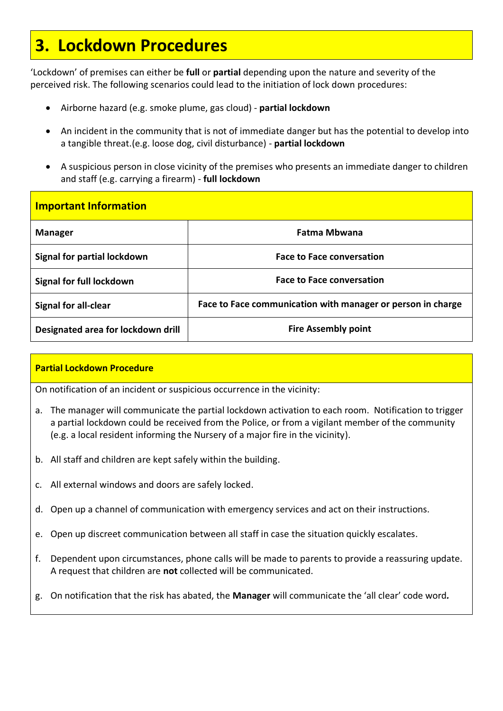### **3. Lockdown Procedures**

'Lockdown' of premises can either be **full** or **partial** depending upon the nature and severity of the perceived risk. The following scenarios could lead to the initiation of lock down procedures:

- Airborne hazard (e.g. smoke plume, gas cloud) **partial lockdown**
- An incident in the community that is not of immediate danger but has the potential to develop into a tangible threat.(e.g. loose dog, civil disturbance) - **partial lockdown**
- A suspicious person in close vicinity of the premises who presents an immediate danger to children and staff (e.g. carrying a firearm) - **full lockdown**

| <b>Important Information</b>       |                                                             |
|------------------------------------|-------------------------------------------------------------|
| <b>Manager</b>                     | <b>Fatma Mbwana</b>                                         |
| Signal for partial lockdown        | <b>Face to Face conversation</b>                            |
| Signal for full lockdown           | <b>Face to Face conversation</b>                            |
| <b>Signal for all-clear</b>        | Face to Face communication with manager or person in charge |
| Designated area for lockdown drill | <b>Fire Assembly point</b>                                  |

#### **Partial Lockdown Procedure**

On notification of an incident or suspicious occurrence in the vicinity:

- a. The manager will communicate the partial lockdown activation to each room. Notification to trigger a partial lockdown could be received from the Police, or from a vigilant member of the community (e.g. a local resident informing the Nursery of a major fire in the vicinity).
- b. All staff and children are kept safely within the building.
- c. All external windows and doors are safely locked.
- d. Open up a channel of communication with emergency services and act on their instructions.
- e. Open up discreet communication between all staff in case the situation quickly escalates.
- f. Dependent upon circumstances, phone calls will be made to parents to provide a reassuring update. A request that children are **not** collected will be communicated.
- g. On notification that the risk has abated, the **Manager** will communicate the 'all clear' code word*.*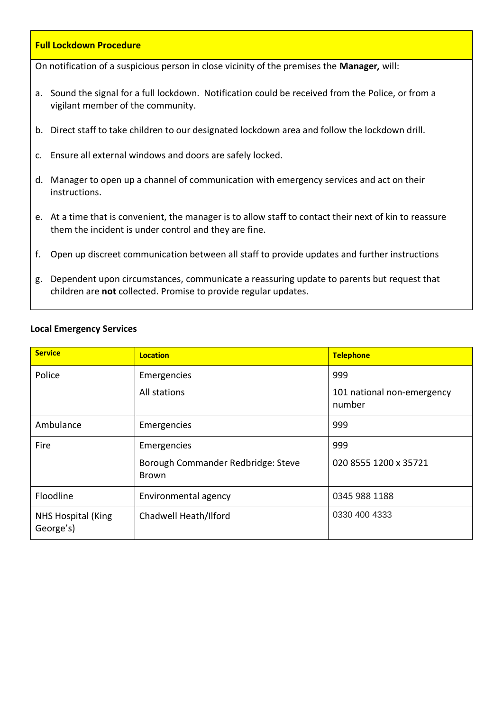#### **Full Lockdown Procedure**

On notification of a suspicious person in close vicinity of the premises the **Manager***,* will:

- a. Sound the signal for a full lockdown. Notification could be received from the Police, or from a vigilant member of the community.
- b. Direct staff to take children to our designated lockdown area and follow the lockdown drill.
- c. Ensure all external windows and doors are safely locked.
- d. Manager to open up a channel of communication with emergency services and act on their instructions.
- e. At a time that is convenient, the manager is to allow staff to contact their next of kin to reassure them the incident is under control and they are fine.
- f. Open up discreet communication between all staff to provide updates and further instructions
- g. Dependent upon circumstances, communicate a reassuring update to parents but request that children are **not** collected. Promise to provide regular updates.

#### **Local Emergency Services**

| <b>Service</b>                         | <b>Location</b>                                    | <b>Telephone</b>                     |
|----------------------------------------|----------------------------------------------------|--------------------------------------|
| Police                                 | Emergencies                                        | 999                                  |
|                                        | All stations                                       | 101 national non-emergency<br>number |
| Ambulance                              | Emergencies                                        | 999                                  |
| Fire                                   | Emergencies                                        | 999                                  |
|                                        | Borough Commander Redbridge: Steve<br><b>Brown</b> | 020 8555 1200 x 35721                |
| Floodline                              | Environmental agency                               | 0345 988 1188                        |
| <b>NHS Hospital (King</b><br>George's) | Chadwell Heath/Ilford                              | 0330 400 4333                        |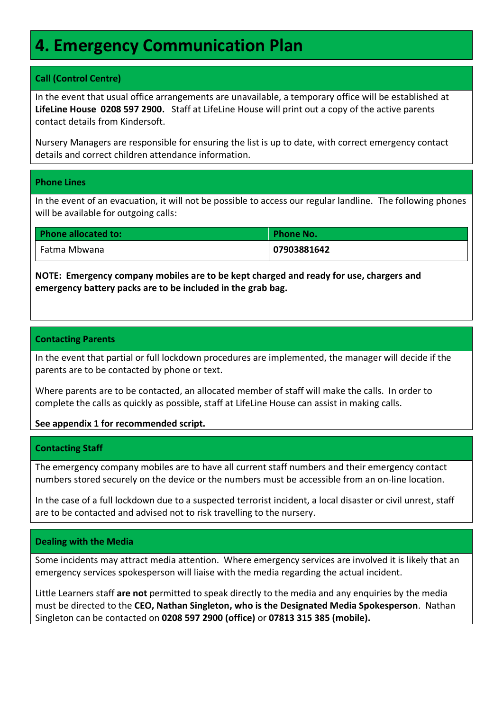### **4. Emergency Communication Plan**

#### **Call (Control Centre)**

In the event that usual office arrangements are unavailable, a temporary office will be established at **LifeLine House 0208 597 2900.** Staff at LifeLine House will print out a copy of the active parents contact details from Kindersoft.

Nursery Managers are responsible for ensuring the list is up to date, with correct emergency contact details and correct children attendance information.

#### **Phone Lines**

In the event of an evacuation, it will not be possible to access our regular landline. The following phones will be available for outgoing calls:

| <b>Phone allocated to:</b> | <b>Phone No.</b> |
|----------------------------|------------------|
| Fatma Mbwana               | 07903881642      |

**NOTE: Emergency company mobiles are to be kept charged and ready for use, chargers and emergency battery packs are to be included in the grab bag.**

#### **Contacting Parents**

In the event that partial or full lockdown procedures are implemented, the manager will decide if the parents are to be contacted by phone or text.

Where parents are to be contacted, an allocated member of staff will make the calls. In order to complete the calls as quickly as possible, staff at LifeLine House can assist in making calls.

**See appendix 1 for recommended script.**

#### **Contacting Staff**

The emergency company mobiles are to have all current staff numbers and their emergency contact numbers stored securely on the device or the numbers must be accessible from an on-line location.

In the case of a full lockdown due to a suspected terrorist incident, a local disaster or civil unrest, staff are to be contacted and advised not to risk travelling to the nursery.

#### **Dealing with the Media**

Some incidents may attract media attention. Where emergency services are involved it is likely that an emergency services spokesperson will liaise with the media regarding the actual incident.

Little Learners staff **are not** permitted to speak directly to the media and any enquiries by the media must be directed to the **CEO, Nathan Singleton, who is the Designated Media Spokesperson**. Nathan Singleton can be contacted on **0208 597 2900 (office)** or **07813 315 385 (mobile).**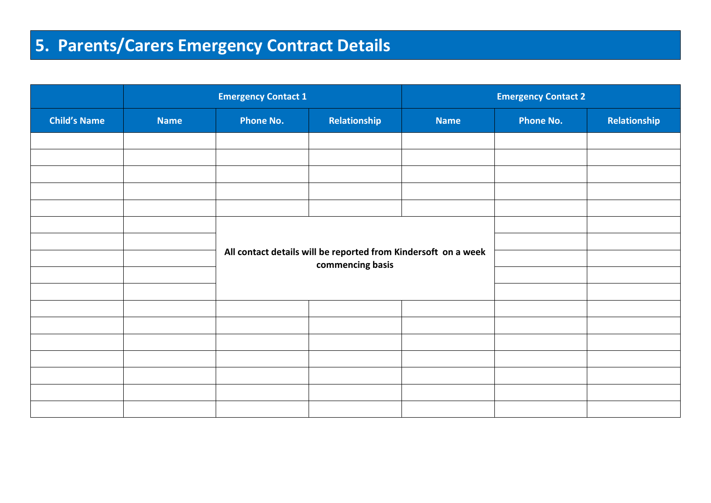# **5. Parents/Carers Emergency Contract Details**

|                     | <b>Emergency Contact 1</b> |                                                                                    | <b>Emergency Contact 2</b> |             |                  |              |
|---------------------|----------------------------|------------------------------------------------------------------------------------|----------------------------|-------------|------------------|--------------|
| <b>Child's Name</b> | <b>Name</b>                | <b>Phone No.</b>                                                                   | Relationship               | <b>Name</b> | <b>Phone No.</b> | Relationship |
|                     |                            |                                                                                    |                            |             |                  |              |
|                     |                            |                                                                                    |                            |             |                  |              |
|                     |                            |                                                                                    |                            |             |                  |              |
|                     |                            |                                                                                    |                            |             |                  |              |
|                     |                            |                                                                                    |                            |             |                  |              |
|                     |                            |                                                                                    |                            |             |                  |              |
|                     |                            | All contact details will be reported from Kindersoft on a week<br>commencing basis |                            |             |                  |              |
|                     |                            |                                                                                    |                            |             |                  |              |
|                     |                            |                                                                                    |                            |             |                  |              |
|                     |                            |                                                                                    |                            |             |                  |              |
|                     |                            |                                                                                    |                            |             |                  |              |
|                     |                            |                                                                                    |                            |             |                  |              |
|                     |                            |                                                                                    |                            |             |                  |              |
|                     |                            |                                                                                    |                            |             |                  |              |
|                     |                            |                                                                                    |                            |             |                  |              |
|                     |                            |                                                                                    |                            |             |                  |              |
|                     |                            |                                                                                    |                            |             |                  |              |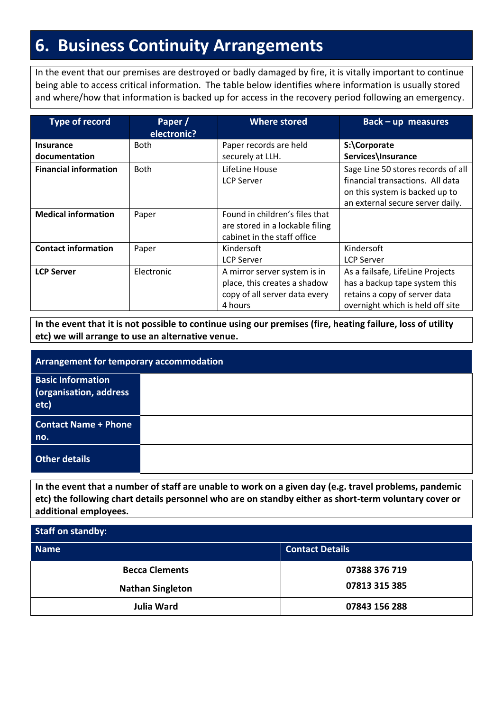### **6. Business Continuity Arrangements**

In the event that our premises are destroyed or badly damaged by fire, it is vitally important to continue being able to access critical information. The table below identifies where information is usually stored and where/how that information is backed up for access in the recovery period following an emergency.

| <b>Type of record</b>        | Paper /<br>electronic? | <b>Where stored</b>             | $Back-up$ measures                 |
|------------------------------|------------------------|---------------------------------|------------------------------------|
| <b>Insurance</b>             | <b>Both</b>            | Paper records are held          | S:\Corporate                       |
| documentation                |                        | securely at LLH.                | Services\Insurance                 |
| <b>Financial information</b> | <b>Both</b>            | LifeLine House                  | Sage Line 50 stores records of all |
|                              |                        | <b>LCP Server</b>               | financial transactions. All data   |
|                              |                        |                                 | on this system is backed up to     |
|                              |                        |                                 | an external secure server daily.   |
| <b>Medical information</b>   | Paper                  | Found in children's files that  |                                    |
|                              |                        | are stored in a lockable filing |                                    |
|                              |                        | cabinet in the staff office     |                                    |
| <b>Contact information</b>   | Paper                  | Kindersoft                      | Kindersoft                         |
|                              |                        | <b>LCP Server</b>               | <b>LCP Server</b>                  |
| <b>LCP Server</b>            | Electronic             | A mirror server system is in    | As a failsafe, LifeLine Projects   |
|                              |                        | place, this creates a shadow    | has a backup tape system this      |
|                              |                        | copy of all server data every   | retains a copy of server data      |
|                              |                        | 4 hours                         | overnight which is held off site   |

**In the event that it is not possible to continue using our premises (fire, heating failure, loss of utility etc) we will arrange to use an alternative venue.**

| <b>Arrangement for temporary accommodation</b>             |  |  |
|------------------------------------------------------------|--|--|
| <b>Basic Information</b><br>(organisation, address<br>etc) |  |  |
| <b>Contact Name + Phone</b><br>no.                         |  |  |
| Other details                                              |  |  |

**In the event that a number of staff are unable to work on a given day (e.g. travel problems, pandemic etc) the following chart details personnel who are on standby either as short-term voluntary cover or additional employees.**

| Staff on standby:       |                        |  |  |
|-------------------------|------------------------|--|--|
| <b>Name</b>             | <b>Contact Details</b> |  |  |
| <b>Becca Clements</b>   | 07388 376 719          |  |  |
| <b>Nathan Singleton</b> | 07813 315 385          |  |  |
| <b>Julia Ward</b>       | 07843 156 288          |  |  |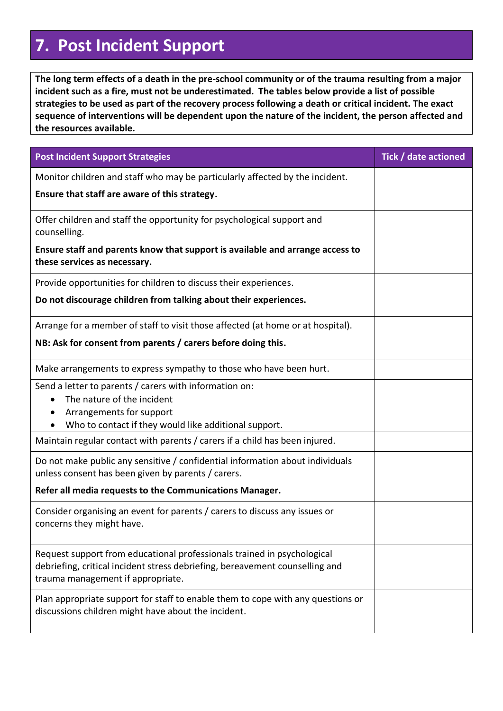# **7. Post Incident Support**

**The long term effects of a death in the pre-school community or of the trauma resulting from a major incident such as a fire, must not be underestimated. The tables below provide a list of possible strategies to be used as part of the recovery process following a death or critical incident. The exact sequence of interventions will be dependent upon the nature of the incident, the person affected and the resources available.**

| <b>Post Incident Support Strategies</b>                                                                                                                                                      | Tick / date actioned |
|----------------------------------------------------------------------------------------------------------------------------------------------------------------------------------------------|----------------------|
| Monitor children and staff who may be particularly affected by the incident.                                                                                                                 |                      |
| Ensure that staff are aware of this strategy.                                                                                                                                                |                      |
| Offer children and staff the opportunity for psychological support and<br>counselling.                                                                                                       |                      |
| Ensure staff and parents know that support is available and arrange access to<br>these services as necessary.                                                                                |                      |
| Provide opportunities for children to discuss their experiences.                                                                                                                             |                      |
| Do not discourage children from talking about their experiences.                                                                                                                             |                      |
| Arrange for a member of staff to visit those affected (at home or at hospital).                                                                                                              |                      |
| NB: Ask for consent from parents / carers before doing this.                                                                                                                                 |                      |
| Make arrangements to express sympathy to those who have been hurt.                                                                                                                           |                      |
| Send a letter to parents / carers with information on:                                                                                                                                       |                      |
| The nature of the incident<br>Arrangements for support                                                                                                                                       |                      |
| Who to contact if they would like additional support.                                                                                                                                        |                      |
| Maintain regular contact with parents / carers if a child has been injured.                                                                                                                  |                      |
| Do not make public any sensitive / confidential information about individuals<br>unless consent has been given by parents / carers.                                                          |                      |
| Refer all media requests to the Communications Manager.                                                                                                                                      |                      |
| Consider organising an event for parents / carers to discuss any issues or<br>concerns they might have.                                                                                      |                      |
| Request support from educational professionals trained in psychological<br>debriefing, critical incident stress debriefing, bereavement counselling and<br>trauma management if appropriate. |                      |
| Plan appropriate support for staff to enable them to cope with any questions or<br>discussions children might have about the incident.                                                       |                      |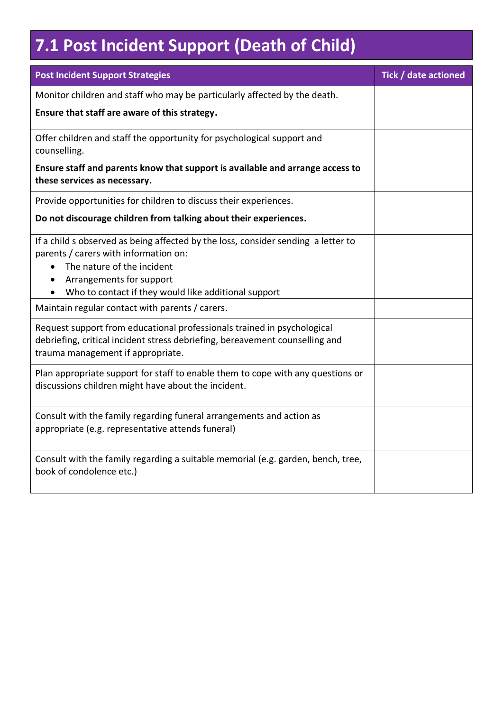# **7.1 Post Incident Support (Death of Child)**

| <b>Post Incident Support Strategies</b>                                                                                                                                                                                                                   | Tick / date actioned |
|-----------------------------------------------------------------------------------------------------------------------------------------------------------------------------------------------------------------------------------------------------------|----------------------|
| Monitor children and staff who may be particularly affected by the death.                                                                                                                                                                                 |                      |
| Ensure that staff are aware of this strategy.                                                                                                                                                                                                             |                      |
| Offer children and staff the opportunity for psychological support and<br>counselling.                                                                                                                                                                    |                      |
| Ensure staff and parents know that support is available and arrange access to<br>these services as necessary.                                                                                                                                             |                      |
| Provide opportunities for children to discuss their experiences.                                                                                                                                                                                          |                      |
| Do not discourage children from talking about their experiences.                                                                                                                                                                                          |                      |
| If a child s observed as being affected by the loss, consider sending a letter to<br>parents / carers with information on:<br>The nature of the incident<br>$\bullet$<br>Arrangements for support<br>Who to contact if they would like additional support |                      |
| Maintain regular contact with parents / carers.                                                                                                                                                                                                           |                      |
| Request support from educational professionals trained in psychological<br>debriefing, critical incident stress debriefing, bereavement counselling and<br>trauma management if appropriate.                                                              |                      |
| Plan appropriate support for staff to enable them to cope with any questions or<br>discussions children might have about the incident.                                                                                                                    |                      |
| Consult with the family regarding funeral arrangements and action as<br>appropriate (e.g. representative attends funeral)                                                                                                                                 |                      |
| Consult with the family regarding a suitable memorial (e.g. garden, bench, tree,<br>book of condolence etc.)                                                                                                                                              |                      |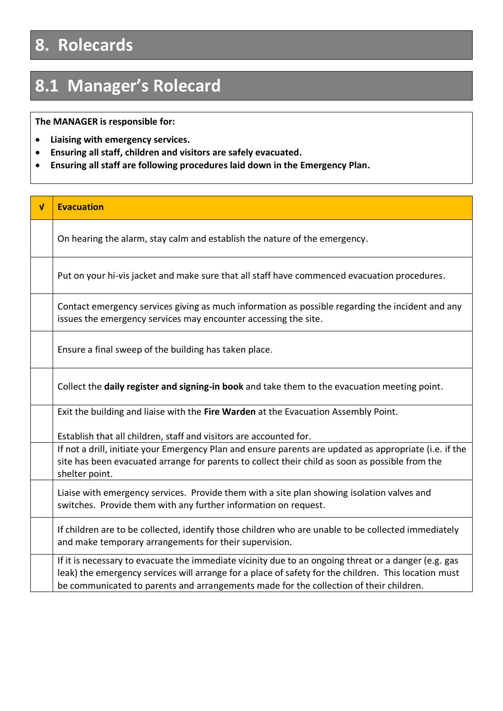# **8. Rolecards**

# **8.1 Manager's Rolecard**

**The MANAGER is responsible for:**

- **Liaising with emergency services.**
- **Ensuring all staff, children and visitors are safely evacuated.**
- **Ensuring all staff are following procedures laid down in the Emergency Plan.**

| V | <b>Evacuation</b>                                                                                                                                                                                                                                                                                      |
|---|--------------------------------------------------------------------------------------------------------------------------------------------------------------------------------------------------------------------------------------------------------------------------------------------------------|
|   | On hearing the alarm, stay calm and establish the nature of the emergency.                                                                                                                                                                                                                             |
|   | Put on your hi-vis jacket and make sure that all staff have commenced evacuation procedures.                                                                                                                                                                                                           |
|   | Contact emergency services giving as much information as possible regarding the incident and any<br>issues the emergency services may encounter accessing the site.                                                                                                                                    |
|   | Ensure a final sweep of the building has taken place.                                                                                                                                                                                                                                                  |
|   | Collect the daily register and signing-in book and take them to the evacuation meeting point.                                                                                                                                                                                                          |
|   | Exit the building and liaise with the Fire Warden at the Evacuation Assembly Point.                                                                                                                                                                                                                    |
|   | Establish that all children, staff and visitors are accounted for.                                                                                                                                                                                                                                     |
|   | If not a drill, initiate your Emergency Plan and ensure parents are updated as appropriate (i.e. if the<br>site has been evacuated arrange for parents to collect their child as soon as possible from the<br>shelter point.                                                                           |
|   | Liaise with emergency services. Provide them with a site plan showing isolation valves and<br>switches. Provide them with any further information on request.                                                                                                                                          |
|   | If children are to be collected, identify those children who are unable to be collected immediately<br>and make temporary arrangements for their supervision.                                                                                                                                          |
|   | If it is necessary to evacuate the immediate vicinity due to an ongoing threat or a danger (e.g. gas<br>leak) the emergency services will arrange for a place of safety for the children. This location must<br>be communicated to parents and arrangements made for the collection of their children. |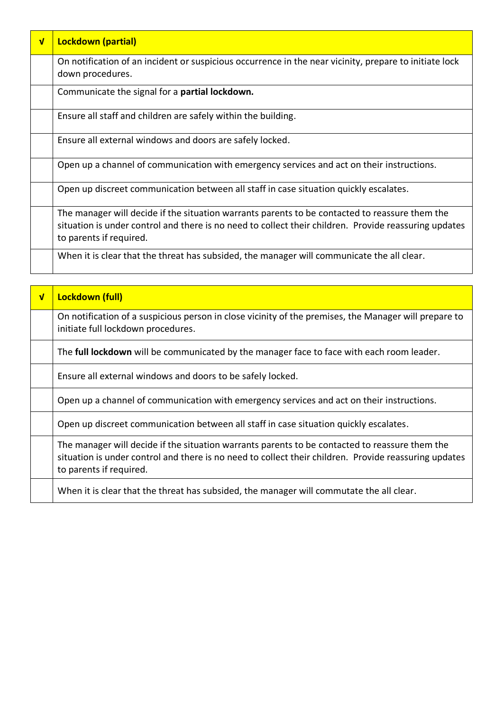| $\sqrt{ }$ | <b>Lockdown (partial)</b>                                                                                                                                                                                                          |
|------------|------------------------------------------------------------------------------------------------------------------------------------------------------------------------------------------------------------------------------------|
|            | On notification of an incident or suspicious occurrence in the near vicinity, prepare to initiate lock<br>down procedures.                                                                                                         |
|            | Communicate the signal for a <b>partial lockdown.</b>                                                                                                                                                                              |
|            | Ensure all staff and children are safely within the building.                                                                                                                                                                      |
|            | Ensure all external windows and doors are safely locked.                                                                                                                                                                           |
|            | Open up a channel of communication with emergency services and act on their instructions.                                                                                                                                          |
|            | Open up discreet communication between all staff in case situation quickly escalates.                                                                                                                                              |
|            | The manager will decide if the situation warrants parents to be contacted to reassure them the<br>situation is under control and there is no need to collect their children. Provide reassuring updates<br>to parents if required. |
|            | When it is clear that the threat has subsided, the manager will communicate the all clear.                                                                                                                                         |

| $\overline{\mathsf{v}}$ | Lockdown (full)                                                                                                                                                                                                                    |
|-------------------------|------------------------------------------------------------------------------------------------------------------------------------------------------------------------------------------------------------------------------------|
|                         | On notification of a suspicious person in close vicinity of the premises, the Manager will prepare to<br>initiate full lockdown procedures.                                                                                        |
|                         | The full lockdown will be communicated by the manager face to face with each room leader.                                                                                                                                          |
|                         | Ensure all external windows and doors to be safely locked.                                                                                                                                                                         |
|                         | Open up a channel of communication with emergency services and act on their instructions.                                                                                                                                          |
|                         | Open up discreet communication between all staff in case situation quickly escalates.                                                                                                                                              |
|                         | The manager will decide if the situation warrants parents to be contacted to reassure them the<br>situation is under control and there is no need to collect their children. Provide reassuring updates<br>to parents if required. |
|                         | When it is clear that the threat has subsided, the manager will commutate the all clear.                                                                                                                                           |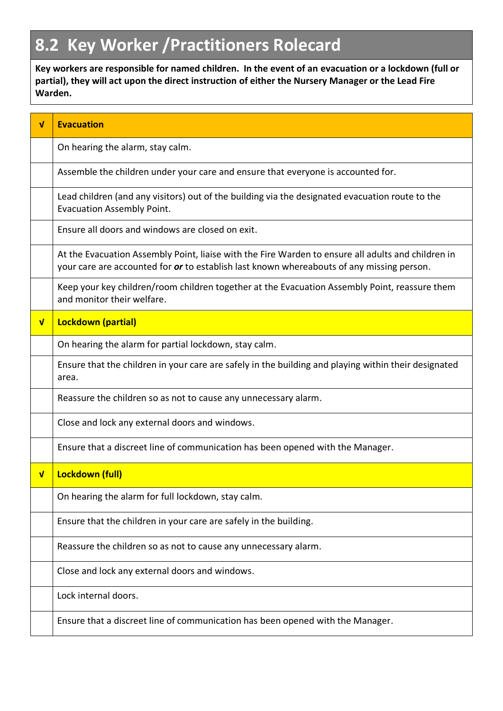# **8.2 Key Worker /Practitioners Rolecard**

**Key workers are responsible for named children. In the event of an evacuation or a lockdown (full or partial), they will act upon the direct instruction of either the Nursery Manager or the Lead Fire Warden.**

| $\mathbf{v}$ | <b>Evacuation</b>                                                                                                                                                                               |
|--------------|-------------------------------------------------------------------------------------------------------------------------------------------------------------------------------------------------|
|              | On hearing the alarm, stay calm.                                                                                                                                                                |
|              | Assemble the children under your care and ensure that everyone is accounted for.                                                                                                                |
|              | Lead children (and any visitors) out of the building via the designated evacuation route to the<br><b>Evacuation Assembly Point.</b>                                                            |
|              | Ensure all doors and windows are closed on exit.                                                                                                                                                |
|              | At the Evacuation Assembly Point, liaise with the Fire Warden to ensure all adults and children in<br>your care are accounted for or to establish last known whereabouts of any missing person. |
|              | Keep your key children/room children together at the Evacuation Assembly Point, reassure them<br>and monitor their welfare.                                                                     |
| $\mathbf v$  | <b>Lockdown (partial)</b>                                                                                                                                                                       |
|              | On hearing the alarm for partial lockdown, stay calm.                                                                                                                                           |
|              | Ensure that the children in your care are safely in the building and playing within their designated<br>area.                                                                                   |
|              | Reassure the children so as not to cause any unnecessary alarm.                                                                                                                                 |
|              | Close and lock any external doors and windows.                                                                                                                                                  |
|              | Ensure that a discreet line of communication has been opened with the Manager.                                                                                                                  |
| $\sqrt{ }$   | Lockdown (full)                                                                                                                                                                                 |
|              | On hearing the alarm for full lockdown, stay calm.                                                                                                                                              |
|              | Ensure that the children in your care are safely in the building.                                                                                                                               |
|              | Reassure the children so as not to cause any unnecessary alarm.                                                                                                                                 |
|              | Close and lock any external doors and windows.                                                                                                                                                  |
|              | Lock internal doors.                                                                                                                                                                            |
|              | Ensure that a discreet line of communication has been opened with the Manager.                                                                                                                  |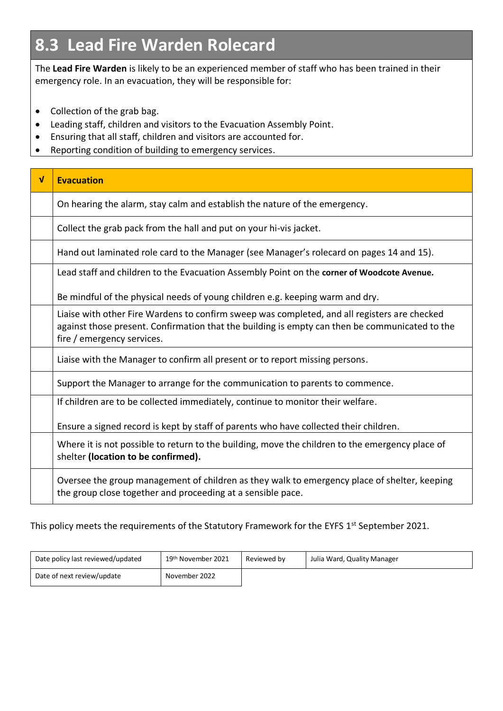# **8.3 Lead Fire Warden Rolecard**

The **Lead Fire Warden** is likely to be an experienced member of staff who has been trained in their emergency role. In an evacuation, they will be responsible for:

- Collection of the grab bag.
- Leading staff, children and visitors to the Evacuation Assembly Point.
- Ensuring that all staff, children and visitors are accounted for.
- Reporting condition of building to emergency services.

| $\mathbf{v}$ | <b>Evacuation</b>                                                                                                                                                                                                            |
|--------------|------------------------------------------------------------------------------------------------------------------------------------------------------------------------------------------------------------------------------|
|              | On hearing the alarm, stay calm and establish the nature of the emergency.                                                                                                                                                   |
|              | Collect the grab pack from the hall and put on your hi-vis jacket.                                                                                                                                                           |
|              | Hand out laminated role card to the Manager (see Manager's rolecard on pages 14 and 15).                                                                                                                                     |
|              | Lead staff and children to the Evacuation Assembly Point on the corner of Woodcote Avenue.                                                                                                                                   |
|              | Be mindful of the physical needs of young children e.g. keeping warm and dry.                                                                                                                                                |
|              | Liaise with other Fire Wardens to confirm sweep was completed, and all registers are checked<br>against those present. Confirmation that the building is empty can then be communicated to the<br>fire / emergency services. |
|              | Liaise with the Manager to confirm all present or to report missing persons.                                                                                                                                                 |
|              | Support the Manager to arrange for the communication to parents to commence.                                                                                                                                                 |
|              | If children are to be collected immediately, continue to monitor their welfare.                                                                                                                                              |
|              | Ensure a signed record is kept by staff of parents who have collected their children.                                                                                                                                        |
|              | Where it is not possible to return to the building, move the children to the emergency place of<br>shelter (location to be confirmed).                                                                                       |
|              | Oversee the group management of children as they walk to emergency place of shelter, keeping<br>the group close together and proceeding at a sensible pace.                                                                  |

#### This policy meets the requirements of the Statutory Framework for the EYFS 1<sup>st</sup> September 2021.

| Date policy last reviewed/updated | 19th November 2021 | Reviewed by | Julia Ward, Quality Manager |
|-----------------------------------|--------------------|-------------|-----------------------------|
| Date of next review/update        | November 2022      |             |                             |